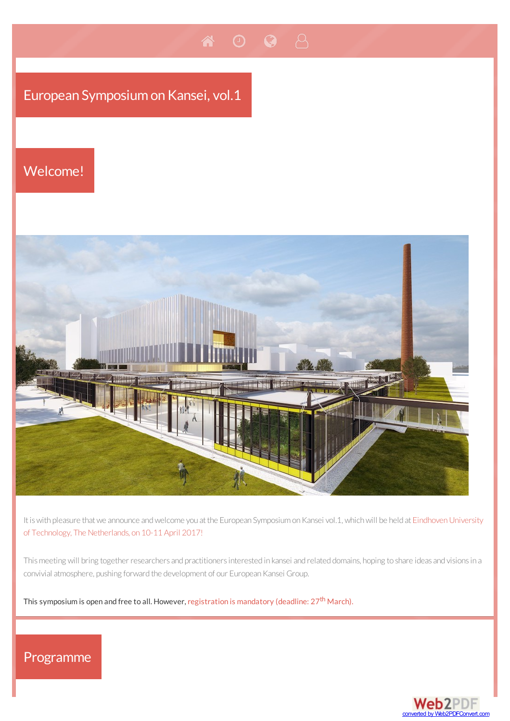# European Symposium on Kansei, vol.1

A

## Welcome!



 $\bullet$  8

It is with pleasure that we announce and welcome you at the European Symposium on Kansei vol.1, which will be held at Eindhoven University of Technology, The Netherlands, on 10-11 April 2017!

This meeting will bring together researchers and practitioners interested in kansei and related domains, hoping to share ideas and visions in a convivial atmosphere, pushing forward the development of our European Kansei Group.

This symposium is open and free to all. However, [registration](#page-2-1) is mandatory (deadline: 27<sup>th</sup> March).

## Programme

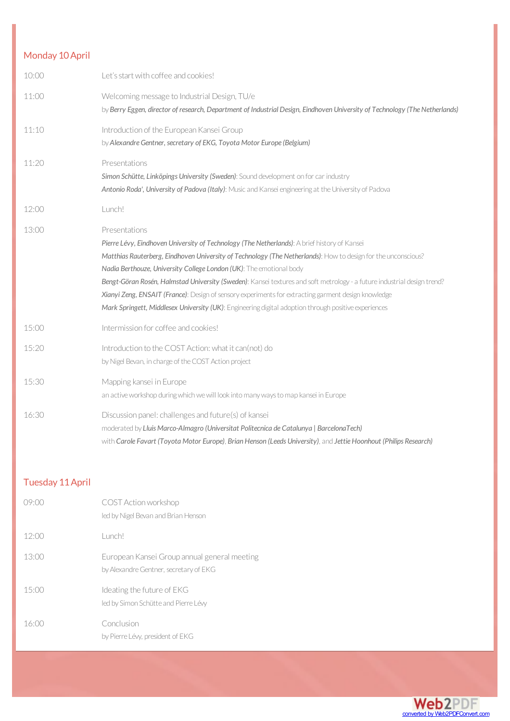| Monday 10 April |                                                                                                                                                                                                                                                                                                                                                                                                                                                                                                                                                                                                                                                 |
|-----------------|-------------------------------------------------------------------------------------------------------------------------------------------------------------------------------------------------------------------------------------------------------------------------------------------------------------------------------------------------------------------------------------------------------------------------------------------------------------------------------------------------------------------------------------------------------------------------------------------------------------------------------------------------|
| 10:00           | Let's start with coffee and cookies!                                                                                                                                                                                                                                                                                                                                                                                                                                                                                                                                                                                                            |
| 11:00           | Welcoming message to Industrial Design, TU/e<br>by Berry Eggen, director of research, Department of Industrial Design, Eindhoven University of Technology (The Netherlands)                                                                                                                                                                                                                                                                                                                                                                                                                                                                     |
| 11:10           | Introduction of the European Kansei Group<br>by Alexandre Gentner, secretary of EKG, Toyota Motor Europe (Belgium)                                                                                                                                                                                                                                                                                                                                                                                                                                                                                                                              |
| 11:20           | Presentations<br>Simon Schütte, Linköpings University (Sweden): Sound development on for car industry<br>Antonio Roda', University of Padova (Italy): Music and Kansei engineering at the University of Padova                                                                                                                                                                                                                                                                                                                                                                                                                                  |
| 12:00           | Lunch!                                                                                                                                                                                                                                                                                                                                                                                                                                                                                                                                                                                                                                          |
| 13:00           | Presentations<br>Pierre Lévy, Eindhoven University of Technology (The Netherlands): A brief history of Kansei<br>Matthias Rauterberg, Eindhoven University of Technology (The Netherlands): How to design for the unconscious?<br>Nadia Berthouze, University College London (UK): The emotional body<br>Bengt-Göran Rosén, Halmstad University (Sweden): Kansei textures and soft metrology - a future industrial design trend?<br>Xianyi Zeng, ENSAIT (France): Design of sensory experiments for extracting garment design knowledge<br>Mark Springett, Middlesex University (UK): Engineering digital adoption through positive experiences |
| 15:00           | Intermission for coffee and cookies!                                                                                                                                                                                                                                                                                                                                                                                                                                                                                                                                                                                                            |
| 15:20           | Introduction to the COST Action: what it can(not) do<br>by Nigel Bevan, in charge of the COST Action project                                                                                                                                                                                                                                                                                                                                                                                                                                                                                                                                    |
| 15:30           | Mapping kansei in Europe<br>an active workshop during which we will look into many ways to map kansei in Europe                                                                                                                                                                                                                                                                                                                                                                                                                                                                                                                                 |
| 16:30           | Discussion panel: challenges and future(s) of kansei<br>moderated by Lluis Marco-Almagro (Universitat Politecnica de Catalunya   BarcelonaTech)<br>with Carole Favart (Toyota Motor Europe), Brian Henson (Leeds University), and Jettie Hoonhout (Philips Research)                                                                                                                                                                                                                                                                                                                                                                            |

### Tuesday 11April

| (19)( | COST Action workshop<br>led by Nigel Bevan and Brian Henson                            |
|-------|----------------------------------------------------------------------------------------|
| 12:00 | Lunch!                                                                                 |
| 13:00 | European Kansei Group annual general meeting<br>by Alexandre Gentner, secretary of EKG |
| 15:00 | Ideating the future of EKG<br>led by Simon Schütte and Pierre Lévy                     |
| 16:00 | Conclusion<br>by Pierre Lévy, president of EKG                                         |

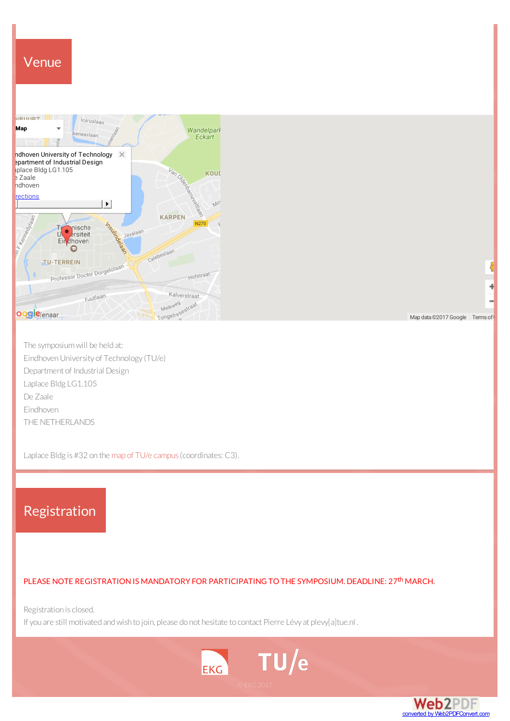<span id="page-2-0"></span>

The symposiumwill be held at: EindhovenUniversity of Technology (TU/e) Department of Industrial Design Laplace Bldg LG1.105 De Zaale Eindhoven THE NETHERLANDS

<span id="page-2-1"></span>Laplace Bldg is #32 on the map of TU/e [campus](https://static.tue.nl/fileadmin/content/universiteit/diensten/dh/24-11-2016_TUe_Plattegrond.pdf) (coordinates: C3).

## Registration

#### PLEASE NOTE REGISTRATION IS MANDATORY FOR PARTICIPATING TO THE SYMPOSIUM. DEADLINE: 27<sup>th</sup> MARCH.

Registration is closed.

If you are still motivated and wish to join, please do not hesitate to contact Pierre Lévy at plevy[a]tue.nl.